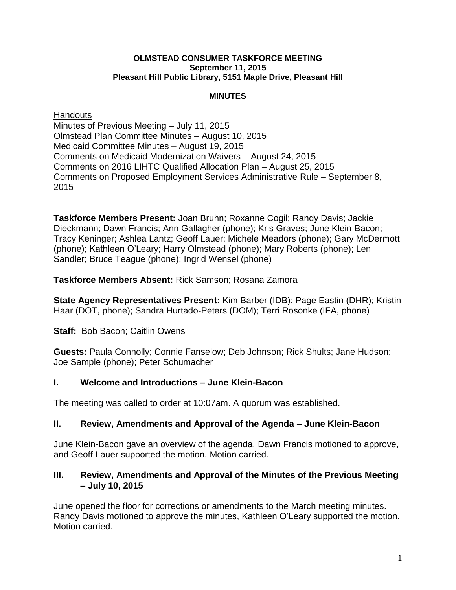#### **OLMSTEAD CONSUMER TASKFORCE MEETING September 11, 2015 Pleasant Hill Public Library, 5151 Maple Drive, Pleasant Hill**

#### **MINUTES**

### **Handouts**

Minutes of Previous Meeting – July 11, 2015 Olmstead Plan Committee Minutes – August 10, 2015 Medicaid Committee Minutes – August 19, 2015 Comments on Medicaid Modernization Waivers – August 24, 2015 Comments on 2016 LIHTC Qualified Allocation Plan – August 25, 2015 Comments on Proposed Employment Services Administrative Rule – September 8, 2015

**Taskforce Members Present:** Joan Bruhn; Roxanne Cogil; Randy Davis; Jackie Dieckmann; Dawn Francis; Ann Gallagher (phone); Kris Graves; June Klein-Bacon; Tracy Keninger; Ashlea Lantz; Geoff Lauer; Michele Meadors (phone); Gary McDermott (phone); Kathleen O'Leary; Harry Olmstead (phone); Mary Roberts (phone); Len Sandler; Bruce Teague (phone); Ingrid Wensel (phone)

**Taskforce Members Absent:** Rick Samson; Rosana Zamora

**State Agency Representatives Present:** Kim Barber (IDB); Page Eastin (DHR); Kristin Haar (DOT, phone); Sandra Hurtado-Peters (DOM); Terri Rosonke (IFA, phone)

# **Staff: Bob Bacon; Caitlin Owens**

**Guests:** Paula Connolly; Connie Fanselow; Deb Johnson; Rick Shults; Jane Hudson; Joe Sample (phone); Peter Schumacher

# **I. Welcome and Introductions – June Klein-Bacon**

The meeting was called to order at 10:07am. A quorum was established.

## **II. Review, Amendments and Approval of the Agenda – June Klein-Bacon**

June Klein-Bacon gave an overview of the agenda. Dawn Francis motioned to approve, and Geoff Lauer supported the motion. Motion carried.

### **III. Review, Amendments and Approval of the Minutes of the Previous Meeting – July 10, 2015**

June opened the floor for corrections or amendments to the March meeting minutes. Randy Davis motioned to approve the minutes, Kathleen O'Leary supported the motion. Motion carried.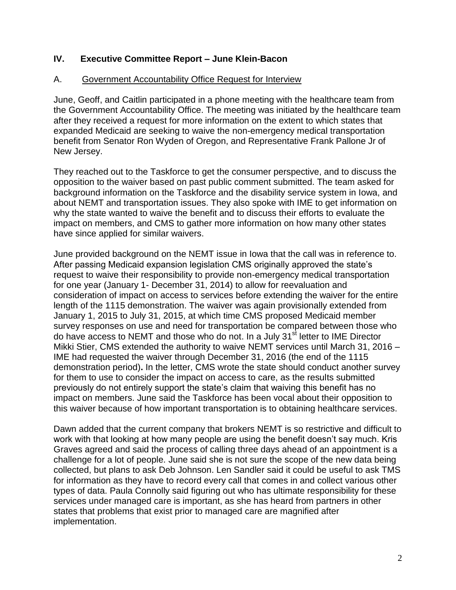### **IV. Executive Committee Report – June Klein-Bacon**

#### A. Government Accountability Office Request for Interview

June, Geoff, and Caitlin participated in a phone meeting with the healthcare team from the Government Accountability Office. The meeting was initiated by the healthcare team after they received a request for more information on the extent to which states that expanded Medicaid are seeking to waive the non-emergency medical transportation benefit from Senator Ron Wyden of Oregon, and Representative Frank Pallone Jr of New Jersey.

They reached out to the Taskforce to get the consumer perspective, and to discuss the opposition to the waiver based on past public comment submitted. The team asked for background information on the Taskforce and the disability service system in Iowa, and about NEMT and transportation issues. They also spoke with IME to get information on why the state wanted to waive the benefit and to discuss their efforts to evaluate the impact on members, and CMS to gather more information on how many other states have since applied for similar waivers.

June provided background on the NEMT issue in Iowa that the call was in reference to. After passing Medicaid expansion legislation CMS originally approved the state's request to waive their responsibility to provide non-emergency medical transportation for one year (January 1- December 31, 2014) to allow for reevaluation and consideration of impact on access to services before extending the waiver for the entire length of the 1115 demonstration. The waiver was again provisionally extended from January 1, 2015 to July 31, 2015, at which time CMS proposed Medicaid member survey responses on use and need for transportation be compared between those who do have access to NEMT and those who do not. In a July 31<sup>st</sup> letter to IME Director Mikki Stier, CMS extended the authority to waive NEMT services until March 31, 2016 – IME had requested the waiver through December 31, 2016 (the end of the 1115 demonstration period)**.** In the letter, CMS wrote the state should conduct another survey for them to use to consider the impact on access to care, as the results submitted previously do not entirely support the state's claim that waiving this benefit has no impact on members. June said the Taskforce has been vocal about their opposition to this waiver because of how important transportation is to obtaining healthcare services.

Dawn added that the current company that brokers NEMT is so restrictive and difficult to work with that looking at how many people are using the benefit doesn't say much. Kris Graves agreed and said the process of calling three days ahead of an appointment is a challenge for a lot of people. June said she is not sure the scope of the new data being collected, but plans to ask Deb Johnson. Len Sandler said it could be useful to ask TMS for information as they have to record every call that comes in and collect various other types of data. Paula Connolly said figuring out who has ultimate responsibility for these services under managed care is important, as she has heard from partners in other states that problems that exist prior to managed care are magnified after implementation.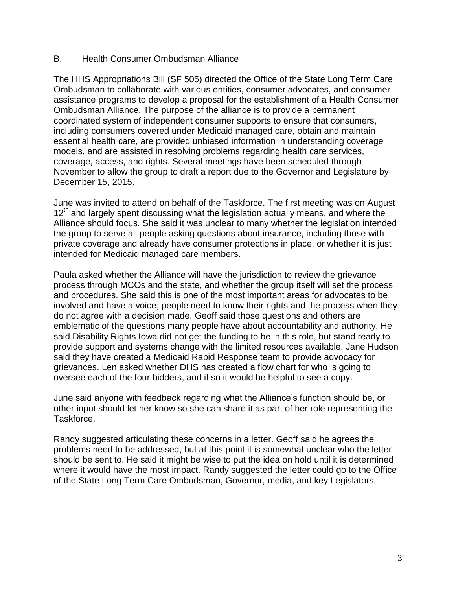#### B. Health Consumer Ombudsman Alliance

The HHS Appropriations Bill (SF 505) directed the Office of the State Long Term Care Ombudsman to collaborate with various entities, consumer advocates, and consumer assistance programs to develop a proposal for the establishment of a Health Consumer Ombudsman Alliance. The purpose of the alliance is to provide a permanent coordinated system of independent consumer supports to ensure that consumers, including consumers covered under Medicaid managed care, obtain and maintain essential health care, are provided unbiased information in understanding coverage models, and are assisted in resolving problems regarding health care services, coverage, access, and rights. Several meetings have been scheduled through November to allow the group to draft a report due to the Governor and Legislature by December 15, 2015.

June was invited to attend on behalf of the Taskforce. The first meeting was on August  $12<sup>th</sup>$  and largely spent discussing what the legislation actually means, and where the Alliance should focus. She said it was unclear to many whether the legislation intended the group to serve all people asking questions about insurance, including those with private coverage and already have consumer protections in place, or whether it is just intended for Medicaid managed care members.

Paula asked whether the Alliance will have the jurisdiction to review the grievance process through MCOs and the state, and whether the group itself will set the process and procedures. She said this is one of the most important areas for advocates to be involved and have a voice; people need to know their rights and the process when they do not agree with a decision made. Geoff said those questions and others are emblematic of the questions many people have about accountability and authority. He said Disability Rights Iowa did not get the funding to be in this role, but stand ready to provide support and systems change with the limited resources available. Jane Hudson said they have created a Medicaid Rapid Response team to provide advocacy for grievances. Len asked whether DHS has created a flow chart for who is going to oversee each of the four bidders, and if so it would be helpful to see a copy.

June said anyone with feedback regarding what the Alliance's function should be, or other input should let her know so she can share it as part of her role representing the Taskforce.

Randy suggested articulating these concerns in a letter. Geoff said he agrees the problems need to be addressed, but at this point it is somewhat unclear who the letter should be sent to. He said it might be wise to put the idea on hold until it is determined where it would have the most impact. Randy suggested the letter could go to the Office of the State Long Term Care Ombudsman, Governor, media, and key Legislators.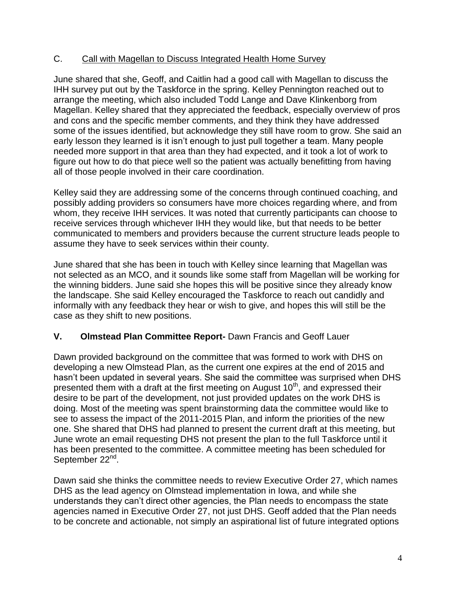## C. Call with Magellan to Discuss Integrated Health Home Survey

June shared that she, Geoff, and Caitlin had a good call with Magellan to discuss the IHH survey put out by the Taskforce in the spring. Kelley Pennington reached out to arrange the meeting, which also included Todd Lange and Dave Klinkenborg from Magellan. Kelley shared that they appreciated the feedback, especially overview of pros and cons and the specific member comments, and they think they have addressed some of the issues identified, but acknowledge they still have room to grow. She said an early lesson they learned is it isn't enough to just pull together a team. Many people needed more support in that area than they had expected, and it took a lot of work to figure out how to do that piece well so the patient was actually benefitting from having all of those people involved in their care coordination.

Kelley said they are addressing some of the concerns through continued coaching, and possibly adding providers so consumers have more choices regarding where, and from whom, they receive IHH services. It was noted that currently participants can choose to receive services through whichever IHH they would like, but that needs to be better communicated to members and providers because the current structure leads people to assume they have to seek services within their county.

June shared that she has been in touch with Kelley since learning that Magellan was not selected as an MCO, and it sounds like some staff from Magellan will be working for the winning bidders. June said she hopes this will be positive since they already know the landscape. She said Kelley encouraged the Taskforce to reach out candidly and informally with any feedback they hear or wish to give, and hopes this will still be the case as they shift to new positions.

# **V. Olmstead Plan Committee Report-** Dawn Francis and Geoff Lauer

Dawn provided background on the committee that was formed to work with DHS on developing a new Olmstead Plan, as the current one expires at the end of 2015 and hasn't been updated in several years. She said the committee was surprised when DHS presented them with a draft at the first meeting on August  $10<sup>th</sup>$ , and expressed their desire to be part of the development, not just provided updates on the work DHS is doing. Most of the meeting was spent brainstorming data the committee would like to see to assess the impact of the 2011-2015 Plan, and inform the priorities of the new one. She shared that DHS had planned to present the current draft at this meeting, but June wrote an email requesting DHS not present the plan to the full Taskforce until it has been presented to the committee. A committee meeting has been scheduled for September 22<sup>nd</sup>.

Dawn said she thinks the committee needs to review Executive Order 27, which names DHS as the lead agency on Olmstead implementation in Iowa, and while she understands they can't direct other agencies, the Plan needs to encompass the state agencies named in Executive Order 27, not just DHS. Geoff added that the Plan needs to be concrete and actionable, not simply an aspirational list of future integrated options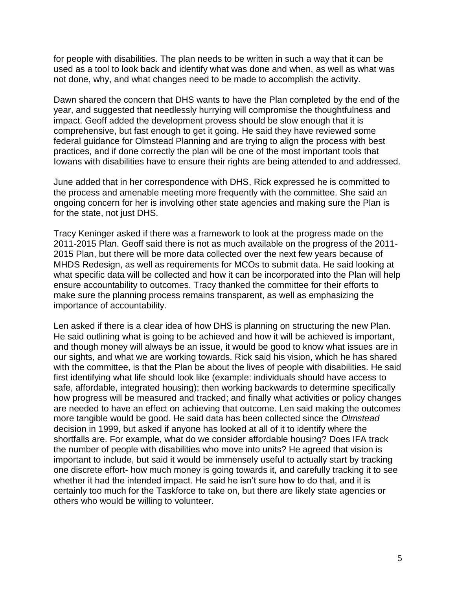for people with disabilities. The plan needs to be written in such a way that it can be used as a tool to look back and identify what was done and when, as well as what was not done, why, and what changes need to be made to accomplish the activity.

Dawn shared the concern that DHS wants to have the Plan completed by the end of the year, and suggested that needlessly hurrying will compromise the thoughtfulness and impact. Geoff added the development provess should be slow enough that it is comprehensive, but fast enough to get it going. He said they have reviewed some federal guidance for Olmstead Planning and are trying to align the process with best practices, and if done correctly the plan will be one of the most important tools that Iowans with disabilities have to ensure their rights are being attended to and addressed.

June added that in her correspondence with DHS, Rick expressed he is committed to the process and amenable meeting more frequently with the committee. She said an ongoing concern for her is involving other state agencies and making sure the Plan is for the state, not just DHS.

Tracy Keninger asked if there was a framework to look at the progress made on the 2011-2015 Plan. Geoff said there is not as much available on the progress of the 2011- 2015 Plan, but there will be more data collected over the next few years because of MHDS Redesign, as well as requirements for MCOs to submit data. He said looking at what specific data will be collected and how it can be incorporated into the Plan will help ensure accountability to outcomes. Tracy thanked the committee for their efforts to make sure the planning process remains transparent, as well as emphasizing the importance of accountability.

Len asked if there is a clear idea of how DHS is planning on structuring the new Plan. He said outlining what is going to be achieved and how it will be achieved is important, and though money will always be an issue, it would be good to know what issues are in our sights, and what we are working towards. Rick said his vision, which he has shared with the committee, is that the Plan be about the lives of people with disabilities. He said first identifying what life should look like (example: individuals should have access to safe, affordable, integrated housing); then working backwards to determine specifically how progress will be measured and tracked; and finally what activities or policy changes are needed to have an effect on achieving that outcome. Len said making the outcomes more tangible would be good. He said data has been collected since the *Olmstead* decision in 1999, but asked if anyone has looked at all of it to identify where the shortfalls are. For example, what do we consider affordable housing? Does IFA track the number of people with disabilities who move into units? He agreed that vision is important to include, but said it would be immensely useful to actually start by tracking one discrete effort- how much money is going towards it, and carefully tracking it to see whether it had the intended impact. He said he isn't sure how to do that, and it is certainly too much for the Taskforce to take on, but there are likely state agencies or others who would be willing to volunteer.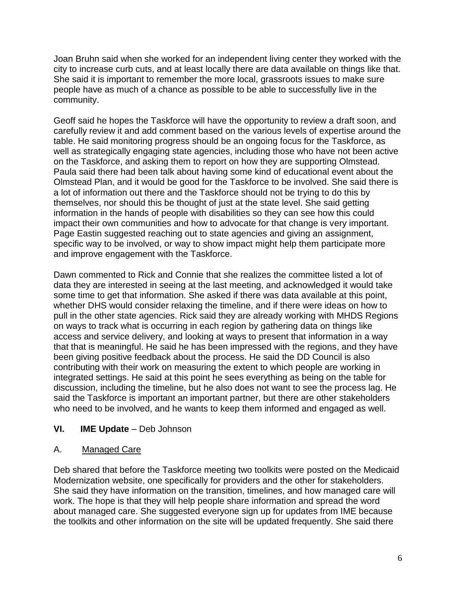Joan Bruhn said when she worked for an independent living center they worked with the city to increase curb cuts, and at least locally there are data available on things like that. She said it is important to remember the more local, grassroots issues to make sure people have as much of a chance as possible to be able to successfully live in the community.

Geoff said he hopes the Taskforce will have the opportunity to review a draft soon, and carefully review it and add comment based on the various levels of expertise around the table. He said monitoring progress should be an ongoing focus for the Taskforce, as well as strategically engaging state agencies, including those who have not been active on the Taskforce, and asking them to report on how they are supporting Olmstead. Paula said there had been talk about having some kind of educational event about the Olmstead Plan, and it would be good for the Taskforce to be involved. She said there is a lot of information out there and the Taskforce should not be trying to do this by themselves, nor should this be thought of just at the state level. She said getting information in the hands of people with disabilities so they can see how this could impact their own communities and how to advocate for that change is very important. Page Eastin suggested reaching out to state agencies and giving an assignment, specific way to be involved, or way to show impact might help them participate more and improve engagement with the Taskforce.

Dawn commented to Rick and Connie that she realizes the committee listed a lot of data they are interested in seeing at the last meeting, and acknowledged it would take some time to get that information. She asked if there was data available at this point, whether DHS would consider relaxing the timeline, and if there were ideas on how to pull in the other state agencies. Rick said they are already working with MHDS Regions on ways to track what is occurring in each region by gathering data on things like access and service delivery, and looking at ways to present that information in a way that that is meaningful. He said he has been impressed with the regions, and they have been giving positive feedback about the process. He said the DD Council is also contributing with their work on measuring the extent to which people are working in integrated settings. He said at this point he sees everything as being on the table for discussion, including the timeline, but he also does not want to see the process lag. He said the Taskforce is important an important partner, but there are other stakeholders who need to be involved, and he wants to keep them informed and engaged as well.

# **VI. IME Update** – Deb Johnson

## A. Managed Care

Deb shared that before the Taskforce meeting two toolkits were posted on the Medicaid Modernization website, one specifically for providers and the other for stakeholders. She said they have information on the transition, timelines, and how managed care will work. The hope is that they will help people share information and spread the word about managed care. She suggested everyone sign up for updates from IME because the toolkits and other information on the site will be updated frequently. She said there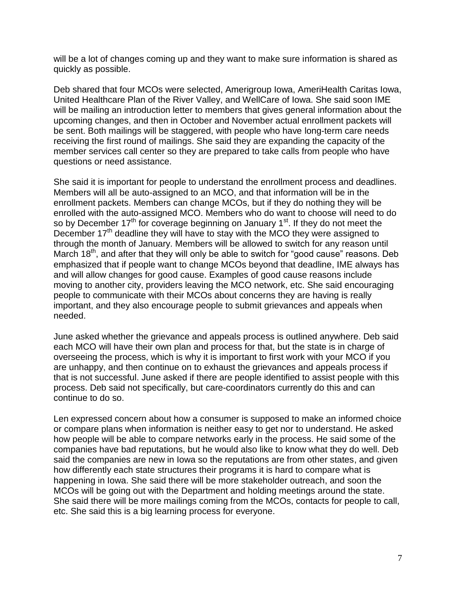will be a lot of changes coming up and they want to make sure information is shared as quickly as possible.

Deb shared that four MCOs were selected, Amerigroup Iowa, AmeriHealth Caritas Iowa, United Healthcare Plan of the River Valley, and WellCare of Iowa. She said soon IME will be mailing an introduction letter to members that gives general information about the upcoming changes, and then in October and November actual enrollment packets will be sent. Both mailings will be staggered, with people who have long-term care needs receiving the first round of mailings. She said they are expanding the capacity of the member services call center so they are prepared to take calls from people who have questions or need assistance.

She said it is important for people to understand the enrollment process and deadlines. Members will all be auto-assigned to an MCO, and that information will be in the enrollment packets. Members can change MCOs, but if they do nothing they will be enrolled with the auto-assigned MCO. Members who do want to choose will need to do so by December  $17<sup>th</sup>$  for coverage beginning on January  $1<sup>st</sup>$ . If they do not meet the December  $17<sup>th</sup>$  deadline they will have to stay with the MCO they were assigned to through the month of January. Members will be allowed to switch for any reason until March 18<sup>th</sup>, and after that they will only be able to switch for "good cause" reasons. Deb emphasized that if people want to change MCOs beyond that deadline, IME always has and will allow changes for good cause. Examples of good cause reasons include moving to another city, providers leaving the MCO network, etc. She said encouraging people to communicate with their MCOs about concerns they are having is really important, and they also encourage people to submit grievances and appeals when needed.

June asked whether the grievance and appeals process is outlined anywhere. Deb said each MCO will have their own plan and process for that, but the state is in charge of overseeing the process, which is why it is important to first work with your MCO if you are unhappy, and then continue on to exhaust the grievances and appeals process if that is not successful. June asked if there are people identified to assist people with this process. Deb said not specifically, but care-coordinators currently do this and can continue to do so.

Len expressed concern about how a consumer is supposed to make an informed choice or compare plans when information is neither easy to get nor to understand. He asked how people will be able to compare networks early in the process. He said some of the companies have bad reputations, but he would also like to know what they do well. Deb said the companies are new in Iowa so the reputations are from other states, and given how differently each state structures their programs it is hard to compare what is happening in Iowa. She said there will be more stakeholder outreach, and soon the MCOs will be going out with the Department and holding meetings around the state. She said there will be more mailings coming from the MCOs, contacts for people to call, etc. She said this is a big learning process for everyone.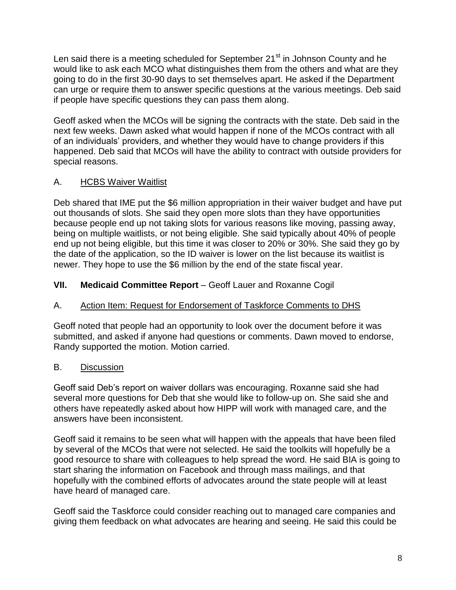Len said there is a meeting scheduled for September 21<sup>st</sup> in Johnson County and he would like to ask each MCO what distinguishes them from the others and what are they going to do in the first 30-90 days to set themselves apart. He asked if the Department can urge or require them to answer specific questions at the various meetings. Deb said if people have specific questions they can pass them along.

Geoff asked when the MCOs will be signing the contracts with the state. Deb said in the next few weeks. Dawn asked what would happen if none of the MCOs contract with all of an individuals' providers, and whether they would have to change providers if this happened. Deb said that MCOs will have the ability to contract with outside providers for special reasons.

# A. HCBS Waiver Waitlist

Deb shared that IME put the \$6 million appropriation in their waiver budget and have put out thousands of slots. She said they open more slots than they have opportunities because people end up not taking slots for various reasons like moving, passing away, being on multiple waitlists, or not being eligible. She said typically about 40% of people end up not being eligible, but this time it was closer to 20% or 30%. She said they go by the date of the application, so the ID waiver is lower on the list because its waitlist is newer. They hope to use the \$6 million by the end of the state fiscal year.

## **VII.** Medicaid Committee Report – Geoff Lauer and Roxanne Cogil

## A. Action Item: Request for Endorsement of Taskforce Comments to DHS

Geoff noted that people had an opportunity to look over the document before it was submitted, and asked if anyone had questions or comments. Dawn moved to endorse, Randy supported the motion. Motion carried.

## B. Discussion

Geoff said Deb's report on waiver dollars was encouraging. Roxanne said she had several more questions for Deb that she would like to follow-up on. She said she and others have repeatedly asked about how HIPP will work with managed care, and the answers have been inconsistent.

Geoff said it remains to be seen what will happen with the appeals that have been filed by several of the MCOs that were not selected. He said the toolkits will hopefully be a good resource to share with colleagues to help spread the word. He said BIA is going to start sharing the information on Facebook and through mass mailings, and that hopefully with the combined efforts of advocates around the state people will at least have heard of managed care.

Geoff said the Taskforce could consider reaching out to managed care companies and giving them feedback on what advocates are hearing and seeing. He said this could be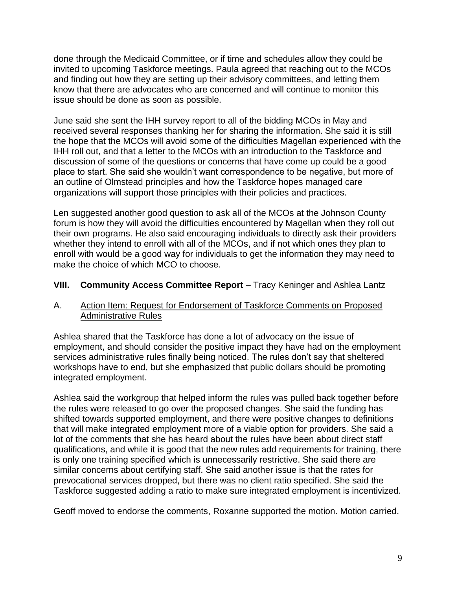done through the Medicaid Committee, or if time and schedules allow they could be invited to upcoming Taskforce meetings. Paula agreed that reaching out to the MCOs and finding out how they are setting up their advisory committees, and letting them know that there are advocates who are concerned and will continue to monitor this issue should be done as soon as possible.

June said she sent the IHH survey report to all of the bidding MCOs in May and received several responses thanking her for sharing the information. She said it is still the hope that the MCOs will avoid some of the difficulties Magellan experienced with the IHH roll out, and that a letter to the MCOs with an introduction to the Taskforce and discussion of some of the questions or concerns that have come up could be a good place to start. She said she wouldn't want correspondence to be negative, but more of an outline of Olmstead principles and how the Taskforce hopes managed care organizations will support those principles with their policies and practices.

Len suggested another good question to ask all of the MCOs at the Johnson County forum is how they will avoid the difficulties encountered by Magellan when they roll out their own programs. He also said encouraging individuals to directly ask their providers whether they intend to enroll with all of the MCOs, and if not which ones they plan to enroll with would be a good way for individuals to get the information they may need to make the choice of which MCO to choose.

## **VIII.** Community Access Committee Report – Tracy Keninger and Ashlea Lantz

#### A. Action Item: Request for Endorsement of Taskforce Comments on Proposed Administrative Rules

Ashlea shared that the Taskforce has done a lot of advocacy on the issue of employment, and should consider the positive impact they have had on the employment services administrative rules finally being noticed. The rules don't say that sheltered workshops have to end, but she emphasized that public dollars should be promoting integrated employment.

Ashlea said the workgroup that helped inform the rules was pulled back together before the rules were released to go over the proposed changes. She said the funding has shifted towards supported employment, and there were positive changes to definitions that will make integrated employment more of a viable option for providers. She said a lot of the comments that she has heard about the rules have been about direct staff qualifications, and while it is good that the new rules add requirements for training, there is only one training specified which is unnecessarily restrictive. She said there are similar concerns about certifying staff. She said another issue is that the rates for prevocational services dropped, but there was no client ratio specified. She said the Taskforce suggested adding a ratio to make sure integrated employment is incentivized.

Geoff moved to endorse the comments, Roxanne supported the motion. Motion carried.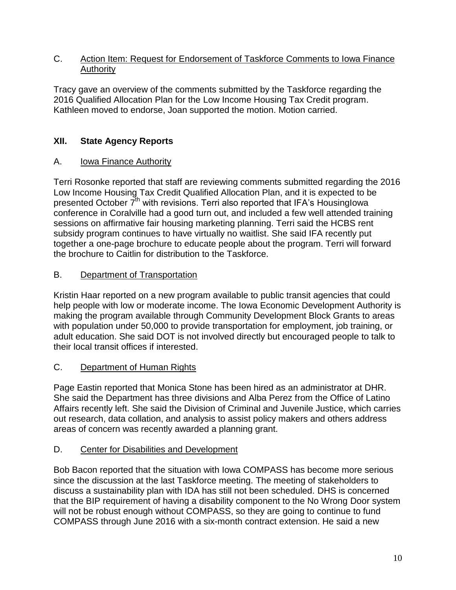### C. Action Item: Request for Endorsement of Taskforce Comments to Iowa Finance Authority

Tracy gave an overview of the comments submitted by the Taskforce regarding the 2016 Qualified Allocation Plan for the Low Income Housing Tax Credit program. Kathleen moved to endorse, Joan supported the motion. Motion carried.

# **XII. State Agency Reports**

## A. Iowa Finance Authority

Terri Rosonke reported that staff are reviewing comments submitted regarding the 2016 Low Income Housing Tax Credit Qualified Allocation Plan, and it is expected to be presented October  $\overline{7}^{th}$  with revisions. Terri also reported that IFA's Housinglowa conference in Coralville had a good turn out, and included a few well attended training sessions on affirmative fair housing marketing planning. Terri said the HCBS rent subsidy program continues to have virtually no waitlist. She said IFA recently put together a one-page brochure to educate people about the program. Terri will forward the brochure to Caitlin for distribution to the Taskforce.

# B. Department of Transportation

Kristin Haar reported on a new program available to public transit agencies that could help people with low or moderate income. The Iowa Economic Development Authority is making the program available through Community Development Block Grants to areas with population under 50,000 to provide transportation for employment, job training, or adult education. She said DOT is not involved directly but encouraged people to talk to their local transit offices if interested.

# C. Department of Human Rights

Page Eastin reported that Monica Stone has been hired as an administrator at DHR. She said the Department has three divisions and Alba Perez from the Office of Latino Affairs recently left. She said the Division of Criminal and Juvenile Justice, which carries out research, data collation, and analysis to assist policy makers and others address areas of concern was recently awarded a planning grant.

## D. Center for Disabilities and Development

Bob Bacon reported that the situation with Iowa COMPASS has become more serious since the discussion at the last Taskforce meeting. The meeting of stakeholders to discuss a sustainability plan with IDA has still not been scheduled. DHS is concerned that the BIP requirement of having a disability component to the No Wrong Door system will not be robust enough without COMPASS, so they are going to continue to fund COMPASS through June 2016 with a six-month contract extension. He said a new